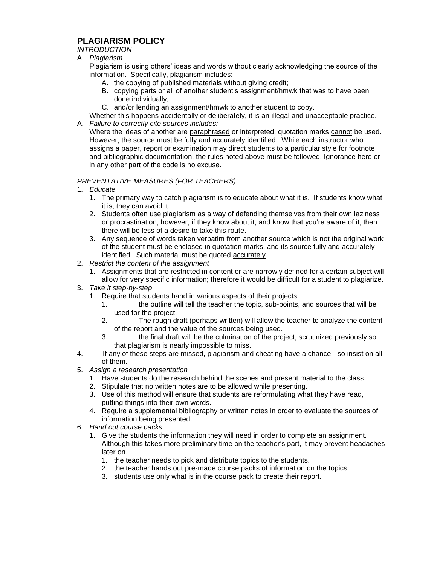## **PLAGIARISM POLICY**

## *INTRODUCTION*

## A. *Plagiarism*

Plagiarism is using others' ideas and words without clearly acknowledging the source of the information. Specifically, plagiarism includes:

- A. the copying of published materials without giving credit;
- B. copying parts or all of another student's assignment/hmwk that was to have been done individually;
- C. and/or lending an assignment/hmwk to another student to copy.

Whether this happens accidentally or deliberately, it is an illegal and unacceptable practice.

A. *Failure to correctly cite sources includes:* Where the ideas of another are paraphrased or interpreted, quotation marks cannot be used. However, the source must be fully and accurately identified. While each instructor who assigns a paper, report or examination may direct students to a particular style for footnote and bibliographic documentation, the rules noted above must be followed. Ignorance here or in any other part of the code is no excuse.

## *PREVENTATIVE MEASURES (FOR TEACHERS)*

- 1. *Educate*
	- 1. The primary way to catch plagiarism is to educate about what it is. If students know what it is, they can avoid it.
	- 2. Students often use plagiarism as a way of defending themselves from their own laziness or procrastination; however, if they know about it, and know that you're aware of it, then there will be less of a desire to take this route.
	- 3. Any sequence of words taken verbatim from another source which is not the original work of the student must be enclosed in quotation marks, and its source fully and accurately identified. Such material must be quoted accurately.
- 2. *Restrict the content of the assignment*
	- 1. Assignments that are restricted in content or are narrowly defined for a certain subject will allow for very specific information; therefore it would be difficult for a student to plagiarize.
- 3. *Take it step-by-step*
	- 1. Require that students hand in various aspects of their projects
		- 1. the outline will tell the teacher the topic, sub-points, and sources that will be used for the project.
		- 2. The rough draft (perhaps written) will allow the teacher to analyze the content of the report and the value of the sources being used.
		- 3. the final draft will be the culmination of the project, scrutinized previously so that plagiarism is nearly impossible to miss.
- 4. If any of these steps are missed, plagiarism and cheating have a chance so insist on all of them.
- 5. *Assign a research presentation*
	- 1. Have students do the research behind the scenes and present material to the class.
	- 2. Stipulate that no written notes are to be allowed while presenting.
	- 3. Use of this method will ensure that students are reformulating what they have read, putting things into their own words.
	- 4. Require a supplemental bibliography or written notes in order to evaluate the sources of information being presented.
- 6. *Hand out course packs*
	- 1. Give the students the information they will need in order to complete an assignment. Although this takes more preliminary time on the teacher's part, it may prevent headaches later on.
		- 1. the teacher needs to pick and distribute topics to the students.
		- 2. the teacher hands out pre-made course packs of information on the topics.
		- 3. students use only what is in the course pack to create their report.